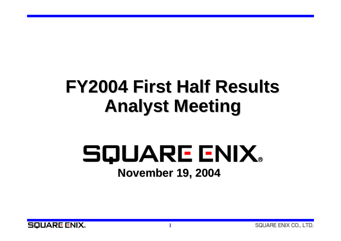# **FY2004 First Half Results FY2004 First Half Results Analyst Meeting Analyst Meeting**

# SQUARE ENIX. **November 19, 2004 November 19, 2004**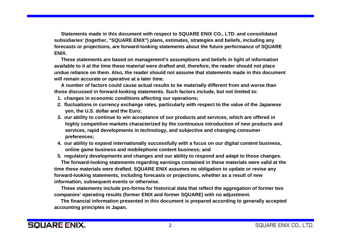**Statements made in this document with respect to SQUARE ENIX CO., LTD. and consolidated subsidiaries' (together, "SQUARE ENIX") plans, estimates, strategies and beliefs, including any forecasts or projections, are forward-looking statements about the future performance of SQUARE ENIX.** 

**These statements are based on management's assumptions and beliefs in light of information available to it at the time these material were drafted and, therefore, the reader should not place undue reliance on them. Also, the reader should not assume that statements made in this document will remain accurate or operative at a later time.** 

**A number of factors could cause actual results to be materially different from and worse than those discussed in forward-looking statements. Such factors include, but not limited to:** 

- **1. changes in economic conditions affecting our operations;**
- **2. fluctuations in currency exchange rates, particularly with respect to the value of the Japanese yen, the U.S. dollar and the Euro;**
- **3. our ability to continue to win acceptance of our products and services, which are offered in highly competitive markets characterized by the continuous introduction of new products and services, rapid developments in technology, and subjective and changing consumer preferences;**
- **4. our ability to expand internationally successfully with a focus on our digital content business, online game business and mobilephone content business; and**
- **5. regulatory developments and changes and our ability to respond and adapt to those changes.**

**The forward-looking statements regarding earnings contained in these materials were valid at the time these materials were drafted. SQUARE ENIX assumes no obligation to update or revise any forward-looking statements, including forecasts or projections, whether as a result of new information, subsequent events or otherwise.**

**These statements include pro-forma for historical data that reflect the aggregation of former two companies' operating results (former ENIX and former SQUARE) with no adjustment.**

 **The financial information presented in this document is prepared according to generally accepted accounting principles in Japan.**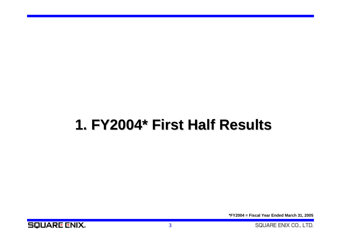## **1. FY2004\* First Half Results FY2004\* First Half Results**

**\*FY2004 = Fiscal Year Ended March 31, 2005**

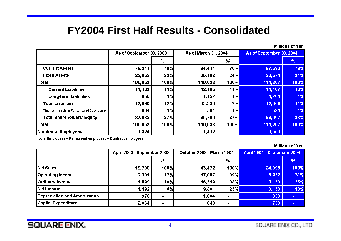#### **FY2004 First Half Results - Consolidated**

|                                                 | As of September 30, 2003 |                | As of March 31, 2004 |            | As of September 30, 2004 |        |
|-------------------------------------------------|--------------------------|----------------|----------------------|------------|--------------------------|--------|
|                                                 |                          | $\%$           |                      | ℅          |                          | %      |
| <b>Current Assets</b>                           | 78,211                   | 78%            | 84,441               | <b>76%</b> | 87,696                   | 79%    |
| <b>Fixed Assets</b>                             | 22,652                   | 22%            | 26,192               | 24%        | 23,571                   | 21%    |
| <b>Total</b>                                    | 100,863                  | 100%           | 110,633              | 100%       | 111,267                  | 100%   |
| Current Liabilities                             | 11,433                   | 11%            | 12,185               | 11%        | 11,407                   | 10%    |
| <b>Long-term Liabilities</b>                    | 656                      | 1%             | 1,152                | 1%         | 1,201                    | 1%     |
| <b>Total Liabilities</b>                        | 12,090                   | 12%            | 13,338               | 12%        | 12,609                   | 11%    |
| Minority Interests in Consolidated Subsidiaries | 834                      | 1%             | 594                  | 1%         | 591                      | 1%     |
| <b>Total Shareholders' Equity</b>               | 87,938                   | 87%            | 96,700               | 87%        | 98,067                   | 88%    |
| Total                                           | 100,863                  | 100%           | 110,633              | $100\%$    | 111,267                  | 100%   |
| Number of Employees                             | 1,324                    | $\blacksquare$ | 1,412                | ۰          | 1,501                    | $\sim$ |

Note:Employees = Permanent employees + Contract employees

#### **Millions of Yen**

|                               | April 2003 - September 2003 |      | <b>October 2003 - March 2004</b> |                | April 2004 - September 2004 |        |
|-------------------------------|-----------------------------|------|----------------------------------|----------------|-----------------------------|--------|
|                               |                             | %    |                                  | %              |                             | %      |
| Net Sales                     | 19,730                      | 100% | 43,472                           | $100\%$        | 24,395                      | 100%   |
| <b>Operating Income</b>       | 2,331                       | 12%  | 17,067                           | 39%            | 5,952                       | 24%    |
| <b>Ordinary Income</b>        | 1,899                       | 10%  | 16,349                           | 38%            | 6,133                       | 25%    |
| <b>Net Income</b>             | 1,192                       | 6%   | 9,801                            | <b>23%</b>     | 3,133                       | 13%    |
| Depreciation and Amortization | 970                         |      | 1,004                            | $\blacksquare$ | 850                         | $\sim$ |
| <b>Capital Expenditure</b>    | 2,064                       |      | 640                              | $\blacksquare$ | 733                         |        |

Millions of Yen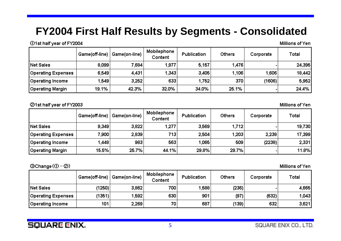### **FY2004 First Half Results by Segments - Consolidated**

101st half year of FY2004

| Millions of Yen |  |
|-----------------|--|
|-----------------|--|

|                    | Game(off-line) | Game(on-line) | Mobilephone<br>Content | Publication | Others | Corporate | Total  |
|--------------------|----------------|---------------|------------------------|-------------|--------|-----------|--------|
| Net Sales          | 8,099          | 7,684         | 1,977                  | 5,157       | 1,476  |           | 24,395 |
| Operating Expenses | 6,549          | 4,431         | 1,343                  | 3,405       | 1,106  | 1,606     | 18,442 |
| Operating Income   | 1,549          | 3,252         | 633                    | 1,752       | 370    | (1606)    | 5,952  |
| Operating Margin   | 19.1%          | 42.3%         | 32.0%                  | 34.0%       | 25.1%  |           | 24.4%  |

21st half year of FY2003

Millions of Yen

|                    | Game(off-line) | Game(on-line) | Mobilephone<br>Content | Publication | <b>Others</b> | Corporate | Total  |
|--------------------|----------------|---------------|------------------------|-------------|---------------|-----------|--------|
| Net Sales          | 9,349          | 3,822         | 1,277                  | 3,569       | 1,712         |           | 19,730 |
| Operating Expenses | 7.900          | 2,839         | 713 <sub>1</sub>       | 2,504       | 1,203         | 2,238     | 17,399 |
| Operating Income   | 1.448          | 983           | 563                    | 1,065       | 509           | (2238)    | 2,331  |
| Operating Margin   | 15.5%          | 25.7%         | 44.1%                  | 29.8%       | 29.7%         |           | 11.8%  |

 $@Change(①-②)$ 

Millions of Yen

|                    |        | Game(off-line)   Game(on-line) | Mobilephone<br>Content | Publication | Others | Corporate | Total |
|--------------------|--------|--------------------------------|------------------------|-------------|--------|-----------|-------|
| <b>Net Sales</b>   | (1250) | 3,862                          | 700                    | 1,588       | (236)  |           | 4,665 |
| Operating Expenses | (1351) | 1,592                          | 630                    | 901         | (97)   | (632)     | 1,043 |
| Operating Income   | 101    | 2,269                          | 70                     | 687         | (139)  | 632       | 3,621 |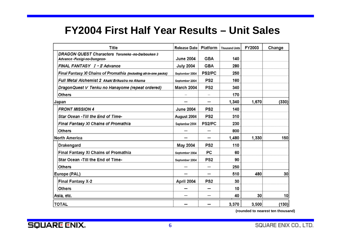### **FY2004 First Half Year Results – Unit Sales**

| <b>Title</b>                                                                  | Release Date      | <b>Platform</b>          | <b>Thousand Units</b> | FY2003 | Change |
|-------------------------------------------------------------------------------|-------------------|--------------------------|-----------------------|--------|--------|
| DRAGON QUEST Characters Toruneko-no-Daibouken 3<br>Advance-Fusigi-no-Dungeon- | <b>June 2004</b>  | <b>GBA</b>               | 140                   |        |        |
| FINAL FANTASY I - II Advance                                                  | <b>July 2004</b>  | <b>GBA</b>               | 280                   |        |        |
| Final Fantasy XI Chains of Promathia (including all-in-one packs)             | September 2004    | PS2/PC                   | 250                   |        |        |
| Full Metal Alchemist 2 Akaki Erikusiru no Akuma                               | September 2004    | PS <sub>2</sub>          | 160                   |        |        |
| DragonQuest V Tenku no Hanayome (repeat ordered)                              | <b>March 2004</b> | PS <sub>2</sub>          | 340                   |        |        |
| Others                                                                        |                   |                          | 170                   |        |        |
| Japan                                                                         |                   | $\qquad \qquad$          | 1,340                 | 1,670  | (330)  |
| <b>FRONT MISSION 4</b>                                                        | <b>June 2004</b>  | PS <sub>2</sub>          | 140                   |        |        |
| Star Ocean - Till the End of Time-                                            | August 2004       | PS <sub>2</sub>          | 310                   |        |        |
| Final Fantasy XI Chains of Promathia                                          | September 2004    | PS2/PC                   | 230                   |        |        |
| Others                                                                        |                   | –                        | 800                   |        |        |
| <b>North America</b>                                                          | —                 | $\overline{\phantom{0}}$ | 1,480                 | 1,330  | 150    |
| Drakengard                                                                    | May 2004          | PS <sub>2</sub>          | 110                   |        |        |
| Final Fantasy XI Chains of Promathia                                          | September 2004    | PC                       | 60                    |        |        |
| Star Ocean - Till the End of Time-                                            | September 2004    | PS <sub>2</sub>          | 90                    |        |        |
| <b>Others</b>                                                                 |                   |                          | 250                   |        |        |
| Europe (PAL)                                                                  |                   | –                        | 510                   | 480    | 30     |
| Final Fantasy X-2                                                             | April 2004        | PS <sub>2</sub>          | 30                    |        |        |
| Others                                                                        |                   | $\overline{\phantom{0}}$ | 10                    |        |        |
| Asia, etc.                                                                    |                   |                          | 40                    | 30     | 10     |
| <b>TOTAL</b>                                                                  |                   |                          | 3,370                 | 3,500  | (130)  |

**(rounded to nearest ten thousand)**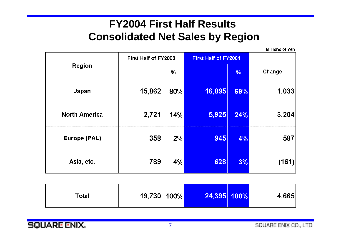### **FY2004 First Half Results Consolidated Net Sales by Region**

|                      |                      |     |                             |     | <b>Millions of Yen</b> |
|----------------------|----------------------|-----|-----------------------------|-----|------------------------|
|                      | First Half of FY2003 |     | <b>First Half of FY2004</b> |     |                        |
| <b>Region</b>        |                      | %   |                             | %   | Change                 |
| Japan                | 15,862               | 80% | 16,895                      | 69% | 1,033                  |
| <b>North America</b> | 2,721                | 14% | 5,925                       | 24% | 3,204                  |
| <b>Europe (PAL)</b>  | 358                  | 2%  | 945                         | 4%  | 587                    |
| Asia, etc.           | 789                  | 4%  | 628                         | 3%  | (161)                  |

| Total | 19,730 100% |  | 24,395 100% |  | 4,665 |
|-------|-------------|--|-------------|--|-------|
|-------|-------------|--|-------------|--|-------|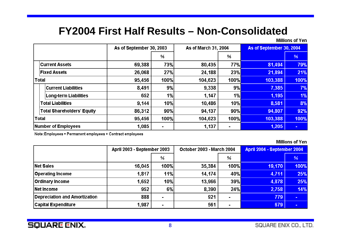### **FY2004 First Half Results – Non-Consolidated**

**Millions of Yen** 

|                     |                                   | As of September 30, 2003 |                |         | As of March 31, 2004 |         | As of September 30, 2004 |  |
|---------------------|-----------------------------------|--------------------------|----------------|---------|----------------------|---------|--------------------------|--|
|                     |                                   |                          | ℅              |         | %                    |         | %                        |  |
|                     | <b>Current Assets</b>             | 69,388                   | 73%            | 80,435  | 77%                  | 81,494  | 79%                      |  |
|                     | <b>Fixed Assets</b>               | 26,068                   | <b>27%</b>     | 24,188  | <b>23%</b>           | 21,894  | 21%                      |  |
| <b>Total</b>        |                                   | 95,456                   | 100%           | 104,623 | 100%                 | 103,388 | 100%                     |  |
|                     | <b>Current Liabilities</b>        | 8,491                    | 9%             | 9,338   | 9%                   | 7,385   | 7%                       |  |
|                     | <b>Long-term Liabilities</b>      | 652                      | 1%             | 1,147   | 1%                   | 1,195   | 1%                       |  |
|                     | <b>Total Liabilities</b>          | 9,144                    | 10%            | 10,486  | 10%                  | 8,581   | 8%                       |  |
|                     | <b>Total Shareholders' Equity</b> | 86,312                   | 90%            | 94,137  | 90%                  | 94,807  | 92%                      |  |
|                     | <b>Total</b>                      | 95,456                   | 100%           | 104,623 | 100%                 | 103,388 | 100%                     |  |
| Number of Employees |                                   | 1,085                    | $\blacksquare$ | 1,137   | $\blacksquare$       | 1,205   | $\blacksquare$           |  |

Note:Employees = Permanent employees + Contract employees

**Millions of Yen** 

|                               | April 2003 - September 2003 |                | <b>October 2003 - March 2004</b> |                          | April 2004 - September 2004 |                |
|-------------------------------|-----------------------------|----------------|----------------------------------|--------------------------|-----------------------------|----------------|
|                               |                             | %              |                                  | %                        |                             | %              |
| Net Sales                     | 16,045                      | 100%           | 35,384                           | 100%l                    | 19,170                      | 100%           |
| <b>Operating Income</b>       | 1,817                       | 11%            | 14,174                           | 40%                      | 4,711                       | 25%            |
| <b>Ordinary Income</b>        | 1,652                       | 10%            | 13,966                           | <b>39%</b>               | 4,878                       | 25%            |
| Net Income                    | 952                         | 6%             | 8,390                            | 24%                      | 2,758                       | 14%            |
| Depreciation and Amortization | 888                         | $\blacksquare$ | 921                              | $\blacksquare$           | 779                         | $\sim$         |
| <b>Capital Expenditure</b>    | 1,987                       | $\blacksquare$ | 561                              | $\overline{\phantom{a}}$ | 679                         | $\blacksquare$ |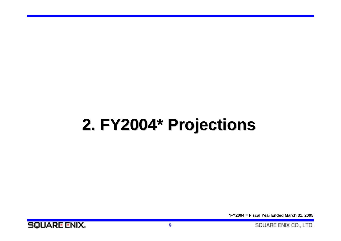# **2. FY2004\* Projections FY2004\* Projections**

**\*FY2004 = Fiscal Year Ended March 31, 2005**

**SQUARE ENIX.** 

SQUARE ENIX CO., LTD.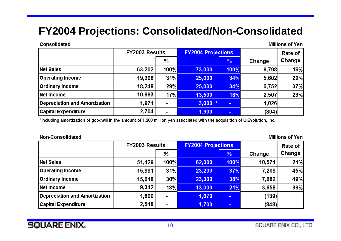### **FY2004 Projections: Consolidated/Non-Consolidated**

#### **Consolidated**

**Millions of Yen** 

|                                      | <b>FY2003 Results</b> |                |        | <b>FY2004 Projections</b> |        | Rate of |
|--------------------------------------|-----------------------|----------------|--------|---------------------------|--------|---------|
|                                      |                       | ℅              |        | %                         | Change | Change  |
| <b>Net Sales</b>                     | 63,202                | 100%l          | 73,000 | 100%                      | 9,798  | 16%     |
| <b>Operating Income</b>              | 19,398                | 31%            | 25,000 | 34%                       | 5,602  | 29%     |
| <b>Ordinary Income</b>               | 18,248                | 29%            | 25,000 | 34%                       | 6,752  | 37%     |
| Net Income                           | 10,993                | 17%            | 13,500 | 18%                       | 2,507  | 23%     |
| <b>Depreciation and Amortization</b> | 1,974                 | $\blacksquare$ | 3,000  | $\blacksquare$            | 1,026  |         |
| <b>Capital Expenditure</b>           | 2,704                 | $\blacksquare$ | 1,900  | $\blacksquare$            | (804)  |         |

\*Including amortization of goodwill in the amount of 1,200 million yen associated with the acquisition of UlEvolution, Inc.

#### Non-Consolidated

**Millions of Yen** 

|                               | <b>FY2003 Results</b> |                     | <b>FY2004 Projections</b> |        |        | Rate of |
|-------------------------------|-----------------------|---------------------|---------------------------|--------|--------|---------|
|                               |                       | ℅                   |                           | %      | Change | Change  |
| Net Sales                     | 51,429                | 100% <mark> </mark> | 62,000                    | 100%   | 10,571 | 21%     |
| <b>Operating Income</b>       | 15,991                | 31%                 | 23,200                    | 37%    | 7,209  | 45%     |
| <b>Ordinary Income</b>        | 15,618                | $30\%$              | 23,300                    | 38%    | 7,682  | 49%     |
| <b>Net Income</b>             | 9,342                 | $18\%$              | 13,000                    | 21%    | 3,658  | 39%     |
| Depreciation and Amortization | 1,809                 |                     | 1,670                     | $\sim$ | (139)  |         |
| <b>Capital Expenditure</b>    | 2,548                 |                     | 1,700                     | $\sim$ | (848)  |         |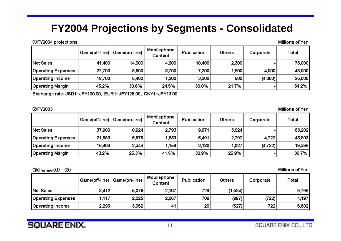### **FY2004 Projections by Segments - Consolidated**

**①FY2004 projections** 

Millions of Yen

|                    | Game(off-line) | Game(on-line), | Mobilephone<br>Content | Publication | <b>Others</b> | Corporate | Total  |
|--------------------|----------------|----------------|------------------------|-------------|---------------|-----------|--------|
| Net Sales          | 41,400         | 14,000         | 4,900                  | 10,400      | 2,300         |           | 73,000 |
| Operating Expenses | 22,700         | 8,600          | 3,700                  | 7,200       | 1,800         | 4,000     | 48,000 |
| Operating Income   | 18,700         | 5,400          | 1,200                  | 3,200       | 500           | (4,000)   | 25,000 |
| Operating Margin   | 45.2%          | 38.6%          | 24.5%                  | 30.8%       | 21.7%         |           | 34.2%  |

Exchange rate:USD1=JPY100.00, EUR1=JPY125.00, CNY1=JPY13.00

#### **ØFY2003**

Millions of Yen

|                    | Game(off-line) | Game(on-line) | Mobilephone<br>Content | Publication | Others | Corporate | Total  |
|--------------------|----------------|---------------|------------------------|-------------|--------|-----------|--------|
| Net Sales          | 37,988         | 8,924         | 2,793                  | 9,671       | 3,824  |           | 63,202 |
| Operating Expenses | 21,583         | 6,575         | 1,633                  | 6,491       | 2,797  | 4,722     | 43,803 |
| Operating Income   | 16,404         | 2,348         | $1,159$ <sup>1</sup>   | 3,180       | 1.027  | (4,722)   | 19,398 |
| Operating Margin   | 43.2%          | 26.3%         | 41.5%                  | 32.9%       | 26.9%  |           | 30.7%  |

 $\mathcal{O}(\Omega)$ Change  $(\mathcal{O} - \mathcal{O})$ 

Millions of Yen

|                    |       | Game(off-line)   Game(on-line) | Mobilephone<br>Content | Publication     | Others  | Corporate        | Total |
|--------------------|-------|--------------------------------|------------------------|-----------------|---------|------------------|-------|
| <b>Net Sales</b>   | 3,412 | 5,076                          | 2.107                  | 729             | (1,524) |                  | 9,798 |
| Operating Expenses | 1,117 | 2,025                          | 2,067                  | 709             | (997)   | (722)            | 4,197 |
| Operating Income   | 2,296 | 3,052                          | 41                     | 20 <sub>2</sub> | (527)   | 722 <sub>1</sub> | 5,602 |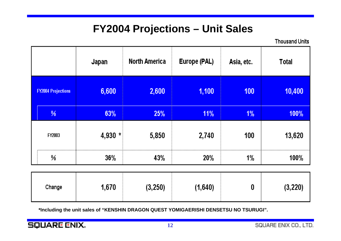### **FY2004 Projections – Unit Sales**

**Thousand Units** 

|                           | Japan   | <b>North America</b> | Europe (PAL) | Asia, etc.       | <b>Total</b> |
|---------------------------|---------|----------------------|--------------|------------------|--------------|
| <b>FY2004 Projections</b> | 6,600   | 2,600                | 1,100        | 100 <sub>1</sub> | 10,400       |
| %                         | 63%     | 25%                  | $11\%$       | $1\%$            | 100%         |
| FY2003                    | 4,930 * | 5,850                | 2,740        | 100              | 13,620       |
| ℅                         | $36\%$  | 43%                  | 20%          | 1%               | 100%         |
|                           |         |                      |              |                  |              |

| I,670<br>(3, 250)<br>Change | (1,640) | (3, 220) |
|-----------------------------|---------|----------|
|-----------------------------|---------|----------|

**\*Including the unit sales of "KENSHIN DRAGON QUEST YOMIGAERISHI DENSETSU NO TSURUGI".**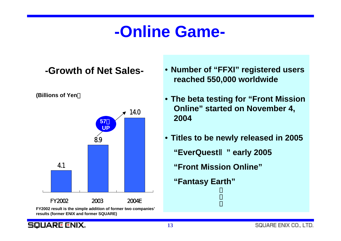## **-Online Game-**

#### **-Growth of Net Sales-**

**(Billions of Yen**)



**FY2002 result is the simple addition of former two companies' results (former ENIX and former SQUARE)**

- **Number of "FFXI" registered users reached 550,000 worldwide**
- **The beta testing for "Front Mission Online" started on November 4, 2004**
- **Titles to be newly released in 2005**
	- **"EverQuest**Ⅱ**" early 2005**
	- **"Front Mission Online"**
	- **"Fantasy Earth"**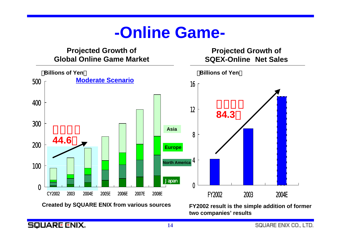### **-Online Game-**



**Created by SQUARE ENIX from various sources FY2002 result is the simple addition of former two companies' results**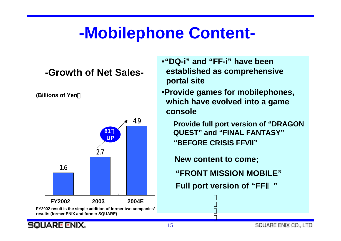## **-Mobilephone Content-**

#### **-Growth of Net Sales-**

**(Billions of Yen**)



**FY2002 result is the simple addition of former two companies' results (former ENIX and former SQUARE)**

•**"DQ-i" and "FF-i" have been established as comprehensive portal site**

•**Provide games for mobilephones, which have evolved into a game console**

**Provide full port version of "DRAGON QUEST" and "FINAL FANTASY" "BEFORE CRISIS FFVII"**

**New content to come;**

**"FRONT MISSION MOBILE"**

**Full port version of "FF**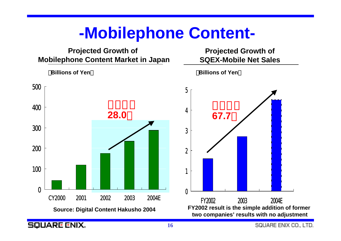### **-Mobilephone Content-**

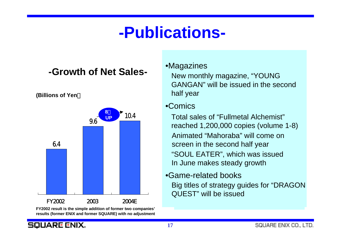## **-Publications-**

#### **-Growth of Net Sales-**





**FY2002 result is the simple addition of former two companies' results (former ENIX and former SQUARE) with no adjustment**

#### •Magazines

New monthly magazine, "YOUNG GANGAN" will be issued in the secondhalf year

#### •Comics

Animated "Mahoraba" will come on screen in the second half year Total sales of "Fullmetal Alchemist"reached 1,200,000 copies (volume 1-8) "SOUL EATER", which was issued In June makes steady growth

•Game-related books Big titles of strategy guides for "DRAGON QUEST" will be issued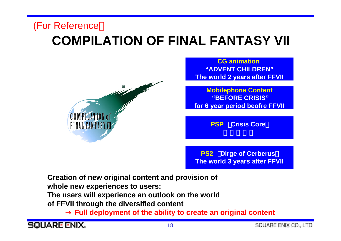### **COMPILATION OF FINAL FANTASY VII** (For Reference



**CG animation"ADVENT CHILDREN"The world 2 years after FFVII**

**Mobilephone Content "BEFORE CRISIS" for 6 year period beofre FFVII**

**PSP Crisis Core** 

**PS2** Dirge of Cerberus **The world 3 years after FFVII**

**Creation of new original content and provision of whole new experiences to users: The users will experience an outlook on the world of FFVII through the diversified content**

**Full deployment of the ability to create an original content**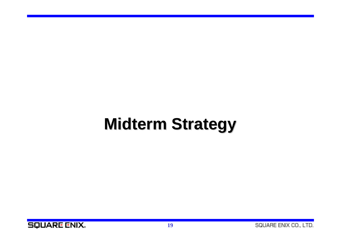# **Midterm Strategy Midterm Strategy**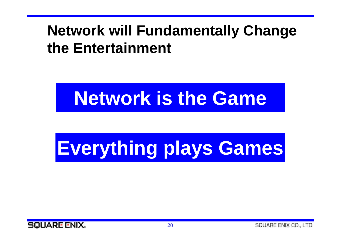### **Network will Fundamentally Change the Entertainment**

# **Network is the Game**

# **Everything plays Games**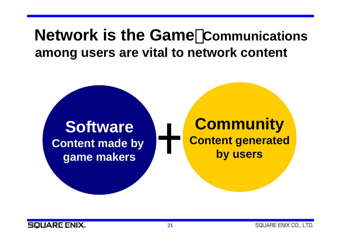### **Network is the Game**:**Communications among users are vital to network content**

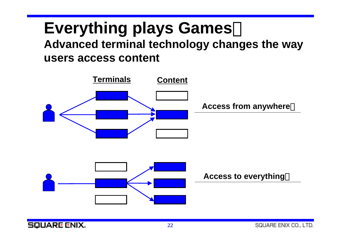# **Everything plays Games**:

**Advanced terminal technology changes the way users access content**

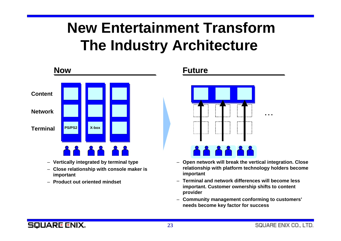## **New Entertainment TransformThe Industry Architecture**



- **Vertically integrated by terminal type**
- **Close relationship with console maker is important**
- **Product out oriented mindset**



- **Open network will break the vertical integration. Close relationship with platform technology holders become important**
- **Terminal and network differences will become less important. Customer ownership shifts to content provider**
- **Community management conforming to customers' needs become key factor for success**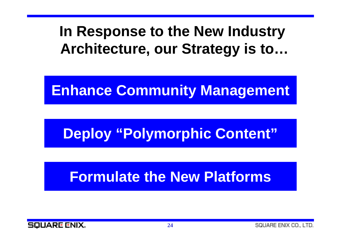### **In Response to the New Industry Architecture, our Strategy is to…**

### **Enhance Community Management**

## **Deploy "Polymorphic Content"**

### **Formulate the New Platforms**